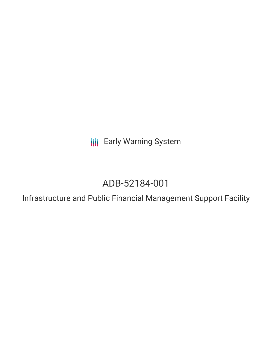**III** Early Warning System

# ADB-52184-001

Infrastructure and Public Financial Management Support Facility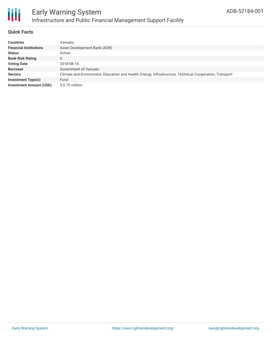

## **Quick Facts**

| <b>Countries</b>               | Vanuatu                                                                                                 |
|--------------------------------|---------------------------------------------------------------------------------------------------------|
| <b>Financial Institutions</b>  | Asian Development Bank (ADB)                                                                            |
| <b>Status</b>                  | Active                                                                                                  |
| <b>Bank Risk Rating</b>        | U                                                                                                       |
| <b>Voting Date</b>             | 2018-08-14                                                                                              |
| <b>Borrower</b>                | Government of Vanuatu                                                                                   |
| <b>Sectors</b>                 | Climate and Environment, Education and Health, Energy, Infrastructure, Technical Cooperation, Transport |
| <b>Investment Type(s)</b>      | Fund                                                                                                    |
| <b>Investment Amount (USD)</b> | $$0.75$ million                                                                                         |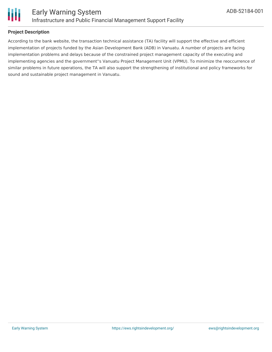

## **Project Description**

According to the bank website, the transaction technical assistance (TA) facility will support the effective and efficient implementation of projects funded by the Asian Development Bank (ADB) in Vanuatu. A number of projects are facing implementation problems and delays because of the constrained project management capacity of the executing and implementing agencies and the government''s Vanuatu Project Management Unit (VPMU). To minimize the reoccurrence of similar problems in future operations, the TA will also support the strengthening of institutional and policy frameworks for sound and sustainable project management in Vanuatu.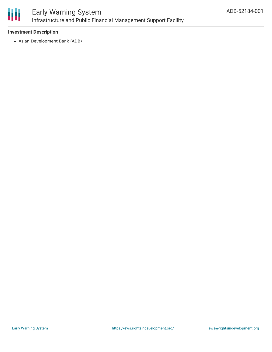

## **Investment Description**

Asian Development Bank (ADB)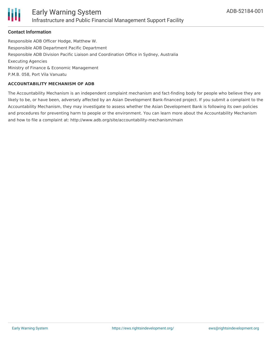

#### **Contact Information**

Responsible ADB Officer Hodge, Matthew W. Responsible ADB Department Pacific Department Responsible ADB Division Pacific Liaison and Coordination Office in Sydney, Australia Executing Agencies Ministry of Finance & Economic Management P.M.B. 058, Port Vila Vanuatu

#### **ACCOUNTABILITY MECHANISM OF ADB**

The Accountability Mechanism is an independent complaint mechanism and fact-finding body for people who believe they are likely to be, or have been, adversely affected by an Asian Development Bank-financed project. If you submit a complaint to the Accountability Mechanism, they may investigate to assess whether the Asian Development Bank is following its own policies and procedures for preventing harm to people or the environment. You can learn more about the Accountability Mechanism and how to file a complaint at: http://www.adb.org/site/accountability-mechanism/main